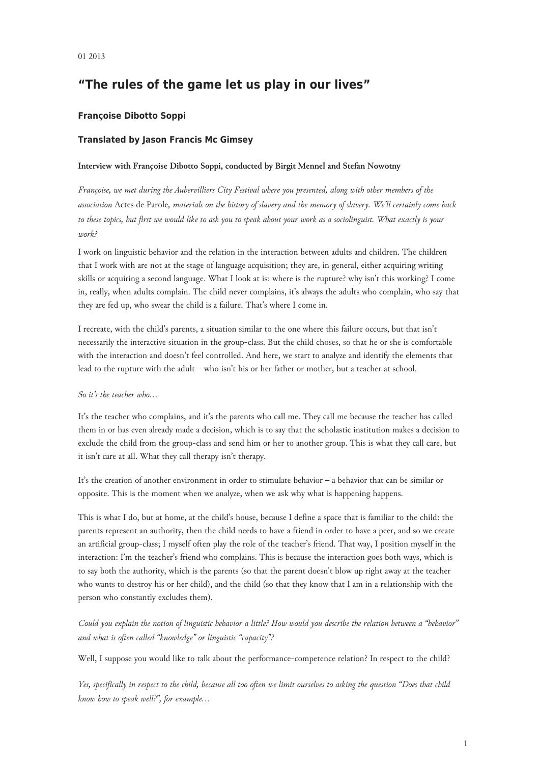# **"The rules of the game let us play in our lives"**

## **Françoise Dibotto Soppi**

## **Translated by Jason Francis Mc Gimsey**

### **Interview with Françoise Dibotto Soppi, conducted by Birgit Mennel and Stefan Nowotny**

*Françoise, we met during the Aubervilliers City Festival where you presented, along with other members of the association* Actes de Parole*, materials on the history of slavery and the memory of slavery. We'll certainly come back to these topics, but first we would like to ask you to speak about your work as a sociolinguist. What exactly is your work?*

I work on linguistic behavior and the relation in the interaction between adults and children. The children that I work with are not at the stage of language acquisition; they are, in general, either acquiring writing skills or acquiring a second language. What I look at is: where is the rupture? why isn't this working? I come in, really, when adults complain. The child never complains, it's always the adults who complain, who say that they are fed up, who swear the child is a failure. That's where I come in.

I recreate, with the child's parents, a situation similar to the one where this failure occurs, but that isn't necessarily the interactive situation in the group-class. But the child choses, so that he or she is comfortable with the interaction and doesn't feel controlled. And here, we start to analyze and identify the elements that lead to the rupture with the adult – who isn't his or her father or mother, but a teacher at school.

#### *So it's the teacher who…*

It's the teacher who complains, and it's the parents who call me. They call me because the teacher has called them in or has even already made a decision, which is to say that the scholastic institution makes a decision to exclude the child from the group-class and send him or her to another group. This is what they call care, but it isn't care at all. What they call therapy isn't therapy.

It's the creation of another environment in order to stimulate behavior – a behavior that can be similar or opposite. This is the moment when we analyze, when we ask why what is happening happens.

This is what I do, but at home, at the child's house, because I define a space that is familiar to the child: the parents represent an authority, then the child needs to have a friend in order to have a peer, and so we create an artificial group-class; I myself often play the role of the teacher's friend. That way, I position myself in the interaction: I'm the teacher's friend who complains. This is because the interaction goes both ways, which is to say both the authority, which is the parents (so that the parent doesn't blow up right away at the teacher who wants to destroy his or her child), and the child (so that they know that I am in a relationship with the person who constantly excludes them).

*Could you explain the notion of linguistic behavior a little? How would you describe the relation between a "behavior" and what is often called "knowledge" or linguistic "capacity"?*

Well, I suppose you would like to talk about the performance-competence relation? In respect to the child?

*Yes, specifically in respect to the child, because all too often we limit ourselves to asking the question "Does that child know how to speak well?", for example…*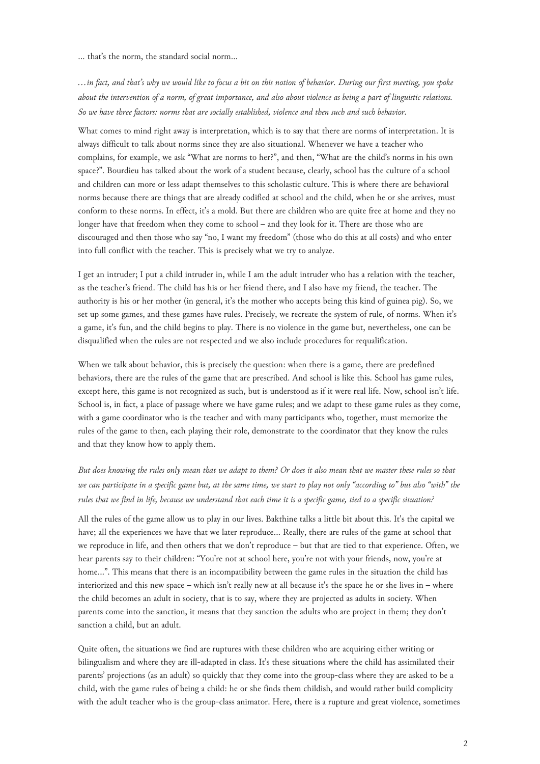… that's the norm, the standard social norm…

*…in fact, and that's why we would like to focus a bit on this notion of behavior. During our first meeting, you spoke about the intervention of a norm, of great importance, and also about violence as being a part of linguistic relations. So we have three factors: norms that are socially established, violence and then such and such behavior.*

What comes to mind right away is interpretation, which is to say that there are norms of interpretation. It is always difficult to talk about norms since they are also situational. Whenever we have a teacher who complains, for example, we ask "What are norms to her?", and then, "What are the child's norms in his own space?". Bourdieu has talked about the work of a student because, clearly, school has the culture of a school and children can more or less adapt themselves to this scholastic culture. This is where there are behavioral norms because there are things that are already codified at school and the child, when he or she arrives, must conform to these norms. In effect, it's a mold. But there are children who are quite free at home and they no longer have that freedom when they come to school – and they look for it. There are those who are discouraged and then those who say "no, I want my freedom" (those who do this at all costs) and who enter into full conflict with the teacher. This is precisely what we try to analyze.

I get an intruder; I put a child intruder in, while I am the adult intruder who has a relation with the teacher, as the teacher's friend. The child has his or her friend there, and I also have my friend, the teacher. The authority is his or her mother (in general, it's the mother who accepts being this kind of guinea pig). So, we set up some games, and these games have rules. Precisely, we recreate the system of rule, of norms. When it's a game, it's fun, and the child begins to play. There is no violence in the game but, nevertheless, one can be disqualified when the rules are not respected and we also include procedures for requalification.

When we talk about behavior, this is precisely the question: when there is a game, there are predefined behaviors, there are the rules of the game that are prescribed. And school is like this. School has game rules, except here, this game is not recognized as such, but is understood as if it were real life. Now, school isn't life. School is, in fact, a place of passage where we have game rules; and we adapt to these game rules as they come, with a game coordinator who is the teacher and with many participants who, together, must memorize the rules of the game to then, each playing their role, demonstrate to the coordinator that they know the rules and that they know how to apply them.

*But does knowing the rules only mean that we adapt to them? Or does it also mean that we master these rules so that we can participate in a specific game but, at the same time, we start to play not only "according to" but also "with" the rules that we find in life, because we understand that each time it is a specific game, tied to a specific situation?*

All the rules of the game allow us to play in our lives. Bakthine talks a little bit about this. It's the capital we have; all the experiences we have that we later reproduce… Really, there are rules of the game at school that we reproduce in life, and then others that we don't reproduce – but that are tied to that experience. Often, we hear parents say to their children: "You're not at school here, you're not with your friends, now, you're at home…". This means that there is an incompatibility between the game rules in the situation the child has interiorized and this new space – which isn't really new at all because it's the space he or she lives in – where the child becomes an adult in society, that is to say, where they are projected as adults in society. When parents come into the sanction, it means that they sanction the adults who are project in them; they don't sanction a child, but an adult.

Quite often, the situations we find are ruptures with these children who are acquiring either writing or bilingualism and where they are ill-adapted in class. It's these situations where the child has assimilated their parents' projections (as an adult) so quickly that they come into the group-class where they are asked to be a child, with the game rules of being a child: he or she finds them childish, and would rather build complicity with the adult teacher who is the group-class animator. Here, there is a rupture and great violence, sometimes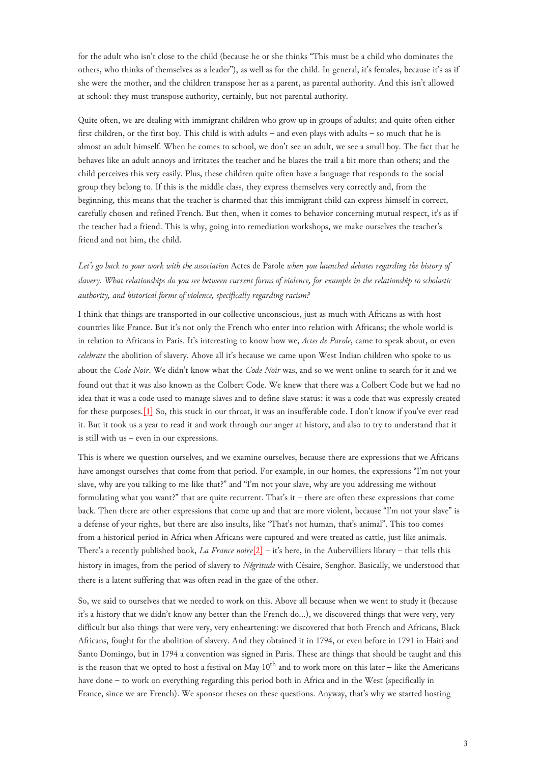for the adult who isn't close to the child (because he or she thinks "This must be a child who dominates the others, who thinks of themselves as a leader"), as well as for the child. In general, it's females, because it's as if she were the mother, and the children transpose her as a parent, as parental authority. And this isn't allowed at school: they must transpose authority, certainly, but not parental authority.

Quite often, we are dealing with immigrant children who grow up in groups of adults; and quite often either first children, or the first boy. This child is with adults – and even plays with adults – so much that he is almost an adult himself. When he comes to school, we don't see an adult, we see a small boy. The fact that he behaves like an adult annoys and irritates the teacher and he blazes the trail a bit more than others; and the child perceives this very easily. Plus, these children quite often have a language that responds to the social group they belong to. If this is the middle class, they express themselves very correctly and, from the beginning, this means that the teacher is charmed that this immigrant child can express himself in correct, carefully chosen and refined French. But then, when it comes to behavior concerning mutual respect, it's as if the teacher had a friend. This is why, going into remediation workshops, we make ourselves the teacher's friend and not him, the child.

*Let's go back to your work with the association* Actes de Parole *when you launched debates regarding the history of slavery. What relationships do you see between current forms of violence, for example in the relationship to scholastic authority, and historical forms of violence, specifically regarding racism?*

<span id="page-2-0"></span>I think that things are transported in our collective unconscious, just as much with Africans as with host countries like France. But it's not only the French who enter into relation with Africans; the whole world is in relation to Africans in Paris. It's interesting to know how we, *Actes de Parole*, came to speak about, or even *celebrate* the abolition of slavery. Above all it's because we came upon West Indian children who spoke to us about the *Code Noir*. We didn't know what the *Code Noir* was, and so we went online to search for it and we found out that it was also known as the Colbert Code. We knew that there was a Colbert Code but we had no idea that it was a code used to manage slaves and to define slave status: it was a code that was expressly created for these purposes.[\[1\]](#page-4-0) So, this stuck in our throat, it was an insufferable code. I don't know if you've ever read it. But it took us a year to read it and work through our anger at history, and also to try to understand that it is still with us – even in our expressions.

<span id="page-2-1"></span>This is where we question ourselves, and we examine ourselves, because there are expressions that we Africans have amongst ourselves that come from that period. For example, in our homes, the expressions "I'm not your slave, why are you talking to me like that?" and "I'm not your slave, why are you addressing me without formulating what you want?" that are quite recurrent. That's it – there are often these expressions that come back. Then there are other expressions that come up and that are more violent, because "I'm not your slave" is a defense of your rights, but there are also insults, like "That's not human, that's animal". This too comes from a historical period in Africa when Africans were captured and were treated as cattle, just like animals. There's a recently published book, *La France noire*[\[2\]](#page-4-1) – it's here, in the Aubervilliers library – that tells this history in images, from the period of slavery to *Négritude* with Césaire, Senghor. Basically, we understood that there is a latent suffering that was often read in the gaze of the other.

So, we said to ourselves that we needed to work on this. Above all because when we went to study it (because it's a history that we didn't know any better than the French do…), we discovered things that were very, very difficult but also things that were very, very enheartening: we discovered that both French and Africans, Black Africans, fought for the abolition of slavery. And they obtained it in 1794, or even before in 1791 in Haiti and Santo Domingo, but in 1794 a convention was signed in Paris. These are things that should be taught and this is the reason that we opted to host a festival on May  $10^{th}$  and to work more on this later – like the Americans have done – to work on everything regarding this period both in Africa and in the West (specifically in France, since we are French). We sponsor theses on these questions. Anyway, that's why we started hosting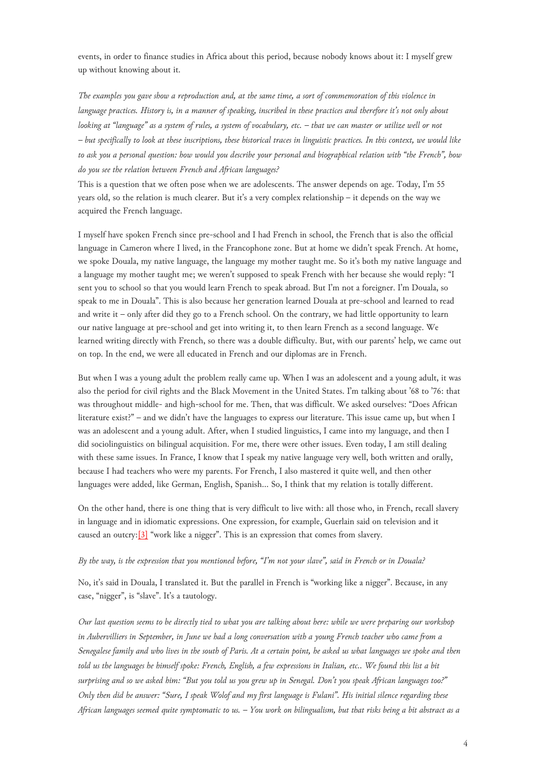events, in order to finance studies in Africa about this period, because nobody knows about it: I myself grew up without knowing about it.

*The examples you gave show a reproduction and, at the same time, a sort of commemoration of this violence in language practices. History is, in a manner of speaking, inscribed in these practices and therefore it's not only about looking at "language" as a system of rules, a system of vocabulary, etc. – that we can master or utilize well or not – but specifically to look at these inscriptions, these historical traces in linguistic practices. In this context, we would like to ask you a personal question: how would you describe your personal and biographical relation with "the French", how do you see the relation between French and African languages?*

This is a question that we often pose when we are adolescents. The answer depends on age. Today, I'm 55 years old, so the relation is much clearer. But it's a very complex relationship – it depends on the way we acquired the French language.

I myself have spoken French since pre-school and I had French in school, the French that is also the official language in Cameron where I lived, in the Francophone zone. But at home we didn't speak French. At home, we spoke Douala, my native language, the language my mother taught me. So it's both my native language and a language my mother taught me; we weren't supposed to speak French with her because she would reply: "I sent you to school so that you would learn French to speak abroad. But I'm not a foreigner. I'm Douala, so speak to me in Douala". This is also because her generation learned Douala at pre-school and learned to read and write it – only after did they go to a French school. On the contrary, we had little opportunity to learn our native language at pre-school and get into writing it, to then learn French as a second language. We learned writing directly with French, so there was a double difficulty. But, with our parents' help, we came out on top. In the end, we were all educated in French and our diplomas are in French.

But when I was a young adult the problem really came up. When I was an adolescent and a young adult, it was also the period for civil rights and the Black Movement in the United States. I'm talking about '68 to '76: that was throughout middle- and high-school for me. Then, that was difficult. We asked ourselves: "Does African literature exist?" – and we didn't have the languages to express our literature. This issue came up, but when I was an adolescent and a young adult. After, when I studied linguistics, I came into my language, and then I did sociolinguistics on bilingual acquisition. For me, there were other issues. Even today, I am still dealing with these same issues. In France, I know that I speak my native language very well, both written and orally, because I had teachers who were my parents. For French, I also mastered it quite well, and then other languages were added, like German, English, Spanish… So, I think that my relation is totally different.

<span id="page-3-0"></span>On the other hand, there is one thing that is very difficult to live with: all those who, in French, recall slavery in language and in idiomatic expressions. One expression, for example, Guerlain said on television and it caused an outcry:  $[3]$  "work like a nigger". This is an expression that comes from slavery.

#### *By the way, is the expression that you mentioned before, "I'm not your slave", said in French or in Douala?*

No, it's said in Douala, I translated it. But the parallel in French is "working like a nigger". Because, in any case, "nigger", is "slave". It's a tautology.

*Our last question seems to be directly tied to what you are talking about here: while we were preparing our workshop in Aubervilliers in September, in June we had a long conversation with a young French teacher who came from a Senegalese family and who lives in the south of Paris. At a certain point, he asked us what languages we spoke and then told us the languages he himself spoke: French, English, a few expressions in Italian, etc.. We found this list a bit surprising and so we asked him: "But you told us you grew up in Senegal. Don't you speak African languages too?" Only then did he answer: "Sure, I speak Wolof and my first language is Fulani". His initial silence regarding these African languages seemed quite symptomatic to us. – You work on bilingualism, but that risks being a bit abstract as a*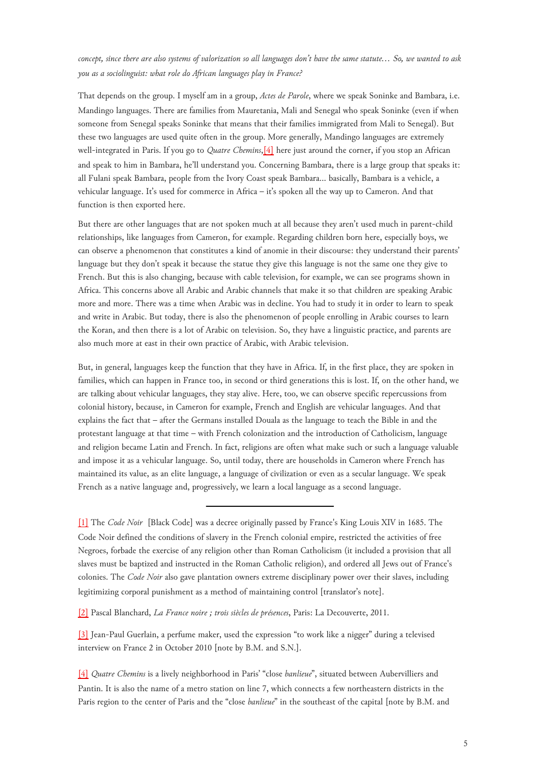*concept, since there are also systems of valorization so all languages don't have the same statute… So, we wanted to ask you as a sociolinguist: what role do African languages play in France?*

<span id="page-4-4"></span>That depends on the group. I myself am in a group, *Actes de Parole*, where we speak Soninke and Bambara, i.e. Mandingo languages. There are families from Mauretania, Mali and Senegal who speak Soninke (even if when someone from Senegal speaks Soninke that means that their families immigrated from Mali to Senegal). But these two languages are used quite often in the group. More generally, Mandingo languages are extremely well-integrated in Paris. If you go to *Quatre Chemins*,[\[4\]](#page-4-3) here just around the corner, if you stop an African and speak to him in Bambara, he'll understand you. Concerning Bambara, there is a large group that speaks it: all Fulani speak Bambara, people from the Ivory Coast speak Bambara… basically, Bambara is a vehicle, a vehicular language. It's used for commerce in Africa – it's spoken all the way up to Cameron. And that function is then exported here.

But there are other languages that are not spoken much at all because they aren't used much in parent-child relationships, like languages from Cameron, for example. Regarding children born here, especially boys, we can observe a phenomenon that constitutes a kind of anomie in their discourse: they understand their parents' language but they don't speak it because the statue they give this language is not the same one they give to French. But this is also changing, because with cable television, for example, we can see programs shown in Africa. This concerns above all Arabic and Arabic channels that make it so that children are speaking Arabic more and more. There was a time when Arabic was in decline. You had to study it in order to learn to speak and write in Arabic. But today, there is also the phenomenon of people enrolling in Arabic courses to learn the Koran, and then there is a lot of Arabic on television. So, they have a linguistic practice, and parents are also much more at east in their own practice of Arabic, with Arabic television.

But, in general, languages keep the function that they have in Africa. If, in the first place, they are spoken in families, which can happen in France too, in second or third generations this is lost. If, on the other hand, we are talking about vehicular languages, they stay alive. Here, too, we can observe specific repercussions from colonial history, because, in Cameron for example, French and English are vehicular languages. And that explains the fact that – after the Germans installed Douala as the language to teach the Bible in and the protestant language at that time – with French colonization and the introduction of Catholicism, language and religion became Latin and French. In fact, religions are often what make such or such a language valuable and impose it as a vehicular language. So, until today, there are households in Cameron where French has maintained its value, as an elite language, a language of civilization or even as a secular language. We speak French as a native language and, progressively, we learn a local language as a second language.

<span id="page-4-0"></span>[\[1\]](#page-2-0) The *Code Noir* [Black Code] was a decree originally passed by France's King Louis XIV in 1685. The Code Noir defined the conditions of slavery in the French colonial empire, restricted the activities of free Negroes, forbade the exercise of any religion other than Roman Catholicism (it included a provision that all slaves must be baptized and instructed in the Roman Catholic religion), and ordered all Jews out of France's colonies. The *Code Noir* also gave plantation owners extreme disciplinary power over their slaves, including legitimizing corporal punishment as a method of maintaining control [translator's note].

<span id="page-4-1"></span>[\[2\]](#page-2-1) Pascal Blanchard, *La France noire ; trois siècles de présences*, Paris: La Decouverte, 2011.

<span id="page-4-2"></span>[\[3\]](#page-3-0) Jean-Paul Guerlain, a perfume maker, used the expression "to work like a nigger" during a televised interview on France 2 in October 2010 [note by B.M. and S.N.].

<span id="page-4-3"></span>[\[4\]](#page-4-4) *Quatre Chemins* is a lively neighborhood in Paris' "close *banlieue*", situated between Aubervilliers and Pantin. It is also the name of a metro station on line 7, which connects a few northeastern districts in the Paris region to the center of Paris and the "close *banlieue*" in the southeast of the capital [note by B.M. and